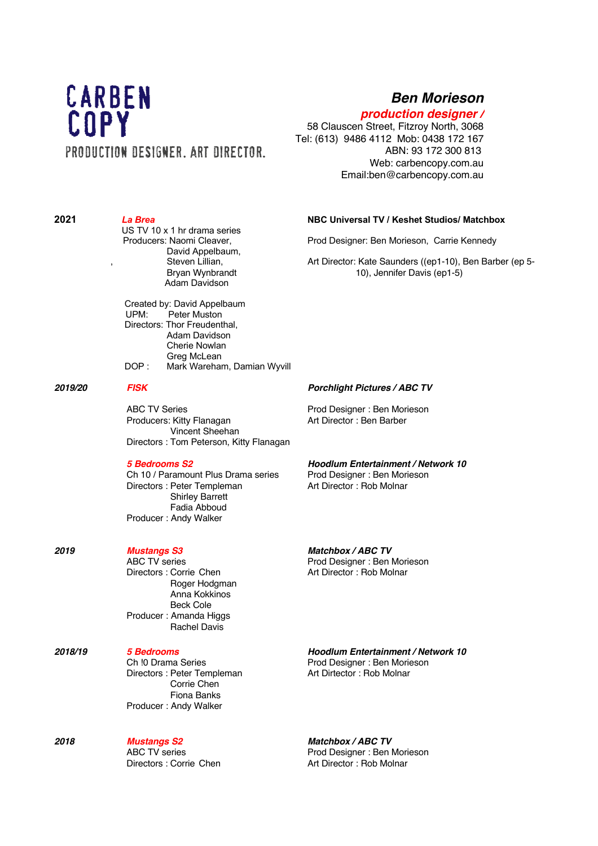# CARBEN COPY PRODUCTION DESIGNER, ART DIRECTOR,

## *Ben Morieson*

## *production designer /*

58 Clauscen Street, Fitzroy North, 3068 Tel: (613) 9486 4112 Mob: 0438 172 167 ABN: 93 172 300 813 Web: carbencopy.com.au Email:ben@carbencopy.com.au

**2021** *La Brea* **NBC Universal TV / Keshet Studios/ Matchbox** US TV 10 x 1 hr drama series Prod Designer: Ben Morieson, Carrie Kennedy David Appelbaum, , Steven Lillian, Art Director: Kate Saunders ((ep1-10), Ben Barber (ep 5- Bryan Wynbrandt 10), Jennifer Davis (ep1-5) Adam Davidson Created by: David Appelbaum<br>UPM: Peter Muston Peter Muston Directors: Thor Freudenthal, Adam Davidson Cherie Nowlan Greg McLean DOP : Mark Wareham, Damian Wyvill *2019/20 FISK Porchlight Pictures / ABC TV* ABC TV Series **Prod Designer** : Ben Morieson Producers: Kitty Flanagan Art Director : Ben Barber Vincent Sheehan Directors : Tom Peterson, Kitty Flanagan *5 Bedrooms S2 Hoodlum Entertainment / Network 10* Ch 10 / Paramount Plus Drama series Prod Designer : Ben Morieson<br>Directors : Peter Templeman Art Director : Rob Molnar Directors : Peter Templeman Shirley Barrett Fadia Abboud Producer : Andy Walker *2019 Mustangs S3 Matchbox / ABC TV* Prod Designer : Ben Morieson Directors : Corrie Chen **Art Director** : Rob Molnar Roger Hodgman Anna Kokkinos Beck Cole Producer : Amanda Higgs Rachel Davis *2018/19 5 Bedrooms Hoodlum Entertainment / Network 10* Ch !0 Drama Series **Prod Designer** : Ben Morieson Directors : Peter Templeman Art Dirtector : Rob Molnar Corrie Chen Fiona Banks Producer : Andy Walker

*2018 Mustangs S2 Matchbox / ABC TV* ABC TV series **Prod Designer** : Ben Morieson Directors : Corrie Chen Art Director : Rob Molnar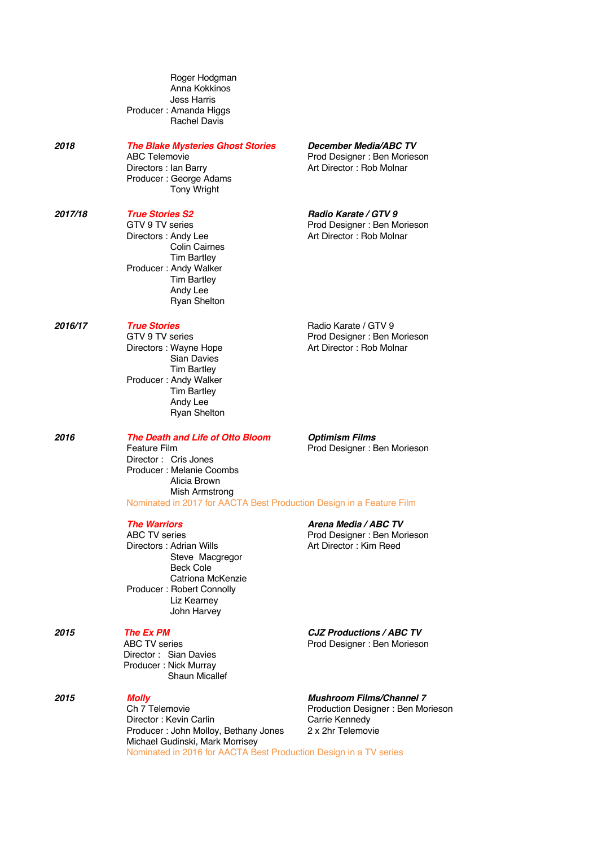| Roger Hodgman                                 |
|-----------------------------------------------|
| Anna Kokkinos                                 |
| Jess Harris                                   |
| Producer: Amanda Higgs<br><b>Rachel Davis</b> |
|                                               |

*2018 The Blake Mysteries Ghost Stories December Media/ABC TV*

Directors : Ian Barry **Art Director : Rob Molnar** Producer : George Adams Tony Wright

## *2017/18 True Stories S2 Radio Karate / GTV 9*

 Colin Cairnes Tim Bartley Producer : Andy Walker Tim Bartley Andy Lee Ryan Shelton

 Sian Davies Tim Bartley Producer : Andy Walker Tim Bartley Andy Lee Ryan Shelton

Director : Cris Jones Producer : Melanie Coombs Alicia Brown

ABC Telemovie **ABC Telemovie Prod Designer** : Ben Morieson

Prod Designer : Ben Morieson Directors : Andy Lee Art Director : Rob Molnar

**2016/17** *True Stories* **Radio Karate / GTV 9 TV series Reduction Radio Karate / GTV 9 TV series Reduction Reduction Reduction Reduction Reduction Reduction Reduction Reduction Reduction Reduction** GTV 9 TV series<br>
Directors: Wavne Hope **Prod Designer : Ben Morieson**<br>
Art Director : Rob Molnar Art Director : Rob Molnar

*2016 The Death and Life of Otto Bloom Optimism Films* Feature Film **Prod Designer** : Ben Morieson

## Mish Armstrong Nominated in 2017 for AACTA Best Production Design in a Feature Film

Directors : Adrian Wills Steve Macgregor Beck Cole Catriona McKenzie Producer : Robert Connolly Liz Kearney John Harvey

Director : Sian Davies Producer : Nick Murray Shaun Micallef

*2015 Molly Mushroom Films/Channel 7* Director : Kevin Carlin<br>Producer : John Molloy, Bethany Jones 2 x 2hr Telemovie Producer : John Molloy, Bethany Jones Michael Gudinski, Mark Morrisey Nominated in 2016 for AACTA Best Production Design in a TV series

## **The Warriors <b>Arena Media / ABC TV**<br>
ABC TV series **ABC TV ABC TV ABC TV ABC** TV **ABC ABC ABC ABC ABC ABC ABC ABC ABC ABC ABC ABC ABC ABC ABC ABC ABC ABC ABC ABC ABC ABC A**

Prod Designer : Ben Morieson<br>Art Director : Kim Reed

*2015 The Ex PM CJZ Productions / ABC TV* Prod Designer : Ben Morieson

Production Designer : Ben Morieson<br>Carrie Kennedy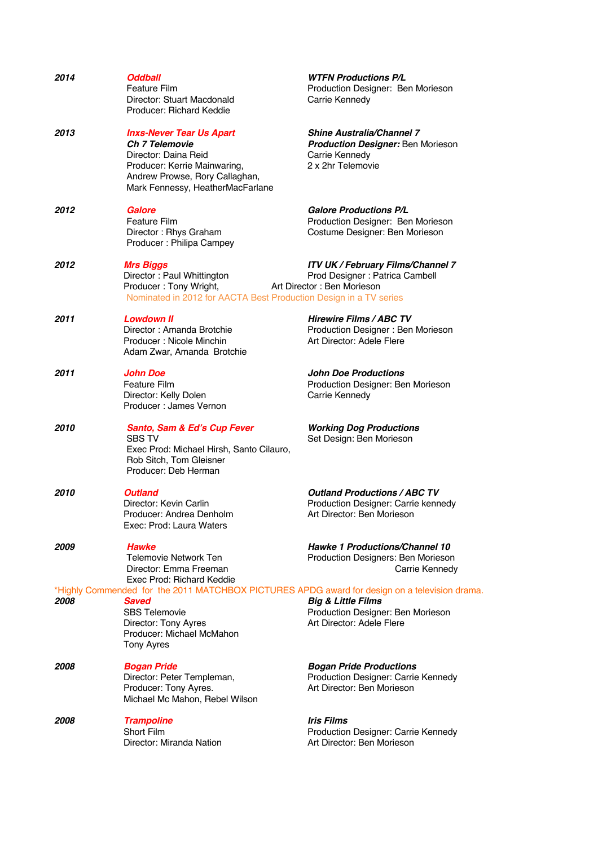| 2014 | <b>Oddball</b><br><b>Feature Film</b><br>Director: Stuart Macdonald<br>Producer: Richard Keddie                                                                                                                 | <b>WTFN Productions P/L</b><br>Production Designer: Ben Morieson<br>Carrie Kennedy                                  |
|------|-----------------------------------------------------------------------------------------------------------------------------------------------------------------------------------------------------------------|---------------------------------------------------------------------------------------------------------------------|
| 2013 | <b>Inxs-Never Tear Us Apart</b><br><b>Ch 7 Telemovie</b><br>Director: Daina Reid<br>Producer: Kerrie Mainwaring,<br>Andrew Prowse, Rory Callaghan,<br>Mark Fennessy, HeatherMacFarlane                          | <b>Shine Australia/Channel 7</b><br><b>Production Designer: Ben Morieson</b><br>Carrie Kennedy<br>2 x 2hr Telemovie |
| 2012 | Galore<br><b>Feature Film</b><br>Director: Rhys Graham<br>Producer: Philipa Campey                                                                                                                              | <b>Galore Productions P/L</b><br>Production Designer: Ben Morieson<br>Costume Designer: Ben Morieson                |
| 2012 | <b>Mrs Biggs</b><br>Director: Paul Whittington<br>Producer: Tony Wright,<br>Nominated in 2012 for AACTA Best Production Design in a TV series                                                                   | <b>ITV UK / February Films/Channel 7</b><br>Prod Designer : Patrica Cambell<br>Art Director: Ben Morieson           |
| 2011 | <b>Lowdown II</b><br>Director: Amanda Brotchie<br>Producer: Nicole Minchin<br>Adam Zwar, Amanda Brotchie                                                                                                        | <b>Hirewire Films / ABC TV</b><br>Production Designer: Ben Morieson<br>Art Director: Adele Flere                    |
| 2011 | <b>John Doe</b><br><b>Feature Film</b><br>Director: Kelly Dolen<br>Producer: James Vernon                                                                                                                       | <b>John Doe Productions</b><br>Production Designer: Ben Morieson<br>Carrie Kennedy                                  |
| 2010 | Santo, Sam & Ed's Cup Fever<br><b>SBS TV</b><br>Exec Prod: Michael Hirsh, Santo Cilauro,<br>Rob Sitch, Tom Gleisner<br>Producer: Deb Herman                                                                     | <b>Working Dog Productions</b><br>Set Design: Ben Morieson                                                          |
| 2010 | <b>Outland</b><br>Director: Kevin Carlin<br>Producer: Andrea Denholm<br>Exec: Prod: Laura Waters                                                                                                                | <b>Outland Productions / ABC TV</b><br>Production Designer: Carrie kennedy<br>Art Director: Ben Morieson            |
| 2009 | <b>Hawke</b><br><b>Telemovie Network Ten</b><br>Director: Emma Freeman<br>Exec Prod: Richard Keddie                                                                                                             | Hawke 1 Productions/Channel 10<br>Production Designers: Ben Morieson<br>Carrie Kennedy                              |
| 2008 | *Highly Commended for the 2011 MATCHBOX PICTURES APDG award for design on a television drama.<br><b>Saved</b><br><b>SBS Telemovie</b><br>Director: Tony Ayres<br>Producer: Michael McMahon<br><b>Tony Ayres</b> | <b>Big &amp; Little Films</b><br>Production Designer: Ben Morieson<br>Art Director: Adele Flere                     |
| 2008 | <b>Bogan Pride</b><br>Director: Peter Templeman,<br>Producer: Tony Ayres.<br>Michael Mc Mahon, Rebel Wilson                                                                                                     | <b>Bogan Pride Productions</b><br>Production Designer: Carrie Kennedy<br>Art Director: Ben Morieson                 |
| 2008 | <b>Trampoline</b><br>Short Film<br>Director: Miranda Nation                                                                                                                                                     | <b>Iris Films</b><br>Production Designer: Carrie Kennedy<br>Art Director: Ben Morieson                              |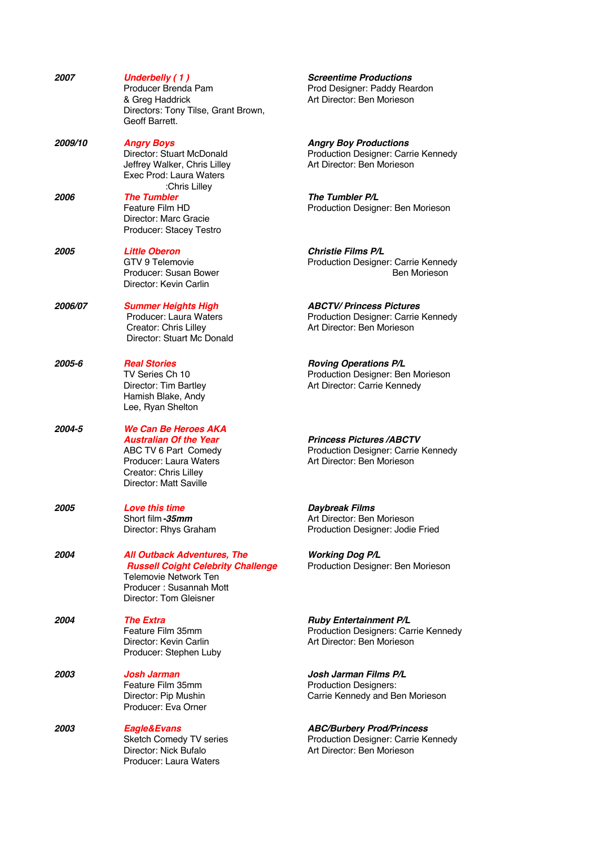| 2007                  | <b>Underbelly (1)</b><br>Producer Brenda Pam<br>& Greg Haddrick<br>Directors: Tony Tilse, Grant Brown,<br>Geoff Barrett.                                             | <b>Screentime Productions</b><br>Prod Designer: Paddy Reardon<br>Art Director: Ben Morieson           |
|-----------------------|----------------------------------------------------------------------------------------------------------------------------------------------------------------------|-------------------------------------------------------------------------------------------------------|
| <i><b>2009/10</b></i> | <b>Angry Boys</b><br>Director: Stuart McDonald<br>Jeffrey Walker, Chris Lilley<br>Exec Prod: Laura Waters<br>:Chris Lilley                                           | <b>Angry Boy Productions</b><br>Production Designer: Carrie Kennedy<br>Art Director: Ben Morieson     |
| 2006                  | <b>The Tumbler</b><br>Feature Film HD<br>Director: Marc Gracie<br>Producer: Stacey Testro                                                                            | The Tumbler P/L<br>Production Designer: Ben Morieson                                                  |
| <i><b>2005</b></i>    | <b>Little Oberon</b><br>GTV 9 Telemovie<br>Producer: Susan Bower<br>Director: Kevin Carlin                                                                           | <b>Christie Films P/L</b><br>Production Designer: Carrie Kennedy<br>Ben Morieson                      |
| 2006/07               | <b>Summer Heights High</b><br>Producer: Laura Waters<br>Creator: Chris Lilley<br>Director: Stuart Mc Donald                                                          | <b>ABCTV/Princess Pictures</b><br>Production Designer: Carrie Kennedy<br>Art Director: Ben Morieson   |
| 2005-6                | <b>Real Stories</b><br>TV Series Ch 10<br>Director: Tim Bartley<br>Hamish Blake, Andy<br>Lee, Ryan Shelton                                                           | <b>Roving Operations P/L</b><br>Production Designer: Ben Morieson<br>Art Director: Carrie Kennedy     |
| 2004-5                | We Can Be Heroes AKA<br><b>Australian Of the Year</b><br>ABC TV 6 Part Comedy<br>Producer: Laura Waters<br>Creator: Chris Lilley<br>Director: Matt Saville           | <b>Princess Pictures /ABCTV</b><br>Production Designer: Carrie Kennedy<br>Art Director: Ben Morieson  |
| 2005                  | <b>Love this time</b><br>Short film <i>-35mm</i><br>Director: Rhys Graham                                                                                            | Daybreak Films<br>Art Director: Ben Morieson<br>Production Designer: Jodie Fried                      |
| 2004                  | <b>All Outback Adventures, The</b><br><b>Russell Coight Celebrity Challenge</b><br><b>Telemovie Network Ten</b><br>Producer: Susannah Mott<br>Director: Tom Gleisner | <b>Working Dog P/L</b><br>Production Designer: Ben Morieson                                           |
| 2004                  | <b>The Extra</b><br>Feature Film 35mm<br>Director: Kevin Carlin<br>Producer: Stephen Luby                                                                            | <b>Ruby Entertainment P/L</b><br>Production Designers: Carrie Kennedy<br>Art Director: Ben Morieson   |
| 2003                  | <b>Josh Jarman</b><br>Feature Film 35mm<br>Director: Pip Mushin<br>Producer: Eva Orner                                                                               | Josh Jarman Films P/L<br><b>Production Designers:</b><br>Carrie Kennedy and Ben Morieson              |
| 2003                  | Eagle&Evans<br>Sketch Comedy TV series<br>Director: Nick Bufalo<br>Producer: Laura Waters                                                                            | <b>ABC/Burbery Prod/Princess</b><br>Production Designer: Carrie Kennedy<br>Art Director: Ben Morieson |